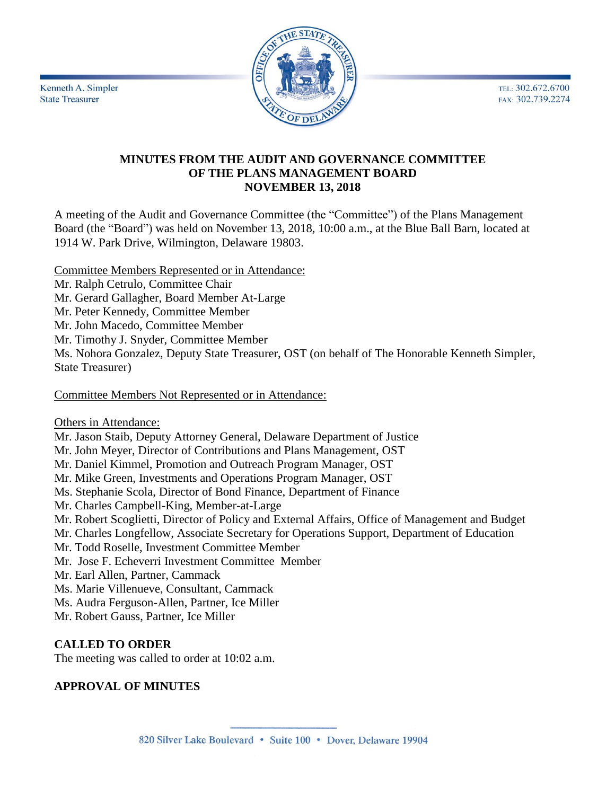TEL: 302.672.6700 FAX: 302.739.2274



Kenneth A. Simpler **State Treasurer** 

## **MINUTES FROM THE AUDIT AND GOVERNANCE COMMITTEE OF THE PLANS MANAGEMENT BOARD NOVEMBER 13, 2018**

A meeting of the Audit and Governance Committee (the "Committee") of the Plans Management Board (the "Board") was held on November 13, 2018, 10:00 a.m., at the Blue Ball Barn, located at 1914 W. Park Drive, Wilmington, Delaware 19803.

Committee Members Represented or in Attendance:

Mr. Ralph Cetrulo, Committee Chair

Mr. Gerard Gallagher, Board Member At-Large

Mr. Peter Kennedy, Committee Member

Mr. John Macedo, Committee Member

Mr. Timothy J. Snyder, Committee Member

Ms. Nohora Gonzalez, Deputy State Treasurer, OST (on behalf of The Honorable Kenneth Simpler, State Treasurer)

Committee Members Not Represented or in Attendance:

Others in Attendance:

Mr. Jason Staib, Deputy Attorney General, Delaware Department of Justice

Mr. John Meyer, Director of Contributions and Plans Management, OST

Mr. Daniel Kimmel, Promotion and Outreach Program Manager, OST

Mr. Mike Green, Investments and Operations Program Manager, OST

Ms. Stephanie Scola, Director of Bond Finance, Department of Finance

Mr. Charles Campbell-King, Member-at-Large

Mr. Robert Scoglietti, Director of Policy and External Affairs, Office of Management and Budget

Mr. Charles Longfellow, Associate Secretary for Operations Support, Department of Education

Mr. Todd Roselle, Investment Committee Member

Mr. Jose F. Echeverri Investment Committee Member

Mr. Earl Allen, Partner, Cammack

Ms. Marie Villenueve, Consultant, Cammack

Ms. Audra Ferguson-Allen, Partner, Ice Miller

Mr. Robert Gauss, Partner, Ice Miller

## **CALLED TO ORDER**

The meeting was called to order at 10:02 a.m.

## **APPROVAL OF MINUTES**

820 Silver Lake Boulevard • Suite 100 • Dover, Delaware 19904